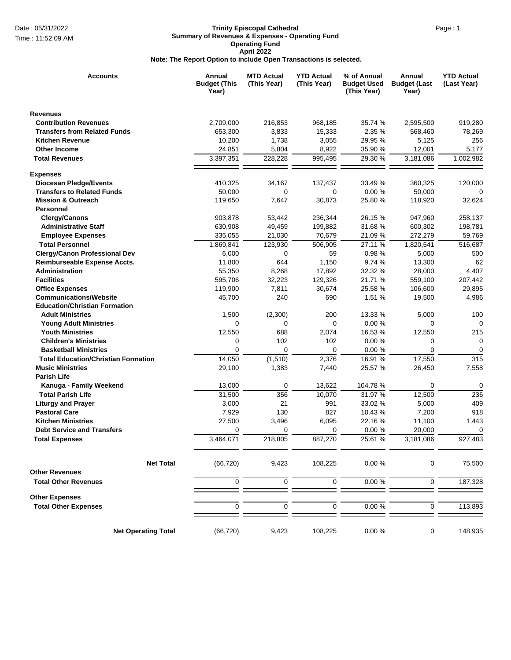## Date : 05/31/2022 **Page : 1 Contract Cathedral** Page : 1 **Trinity Episcopal Cathedral Summary of Revenues & Expenses - Operating Fund Operating Fund April 2022 Note: The Report Option to include Open Transactions is selected.**

| <b>Accounts</b>                            | Annual<br><b>Budget (This</b><br>Year) | <b>MTD Actual</b><br>(This Year) | <b>YTD Actual</b><br>(This Year) | % of Annual<br><b>Budget Used</b><br>(This Year) | Annual<br><b>Budget (Last</b><br>Year) | <b>YTD Actual</b><br>(Last Year) |
|--------------------------------------------|----------------------------------------|----------------------------------|----------------------------------|--------------------------------------------------|----------------------------------------|----------------------------------|
| <b>Revenues</b>                            |                                        |                                  |                                  |                                                  |                                        |                                  |
| <b>Contribution Revenues</b>               | 2,709,000                              | 216,853                          | 968,185                          | 35.74 %                                          | 2,595,500                              | 919,280                          |
| <b>Transfers from Related Funds</b>        | 653,300                                | 3,833                            | 15,333                           | 2.35 %                                           | 568,460                                | 78,269                           |
| <b>Kitchen Revenue</b>                     | 10,200                                 | 1,738                            | 3,055                            | 29.95 %                                          | 5,125                                  | 256                              |
| Other Income                               | 24,851                                 | 5,804                            | 8,922                            | 35.90 %                                          | 12,001                                 | 5,177                            |
| <b>Total Revenues</b>                      | 3,397,351                              | 228,228                          | 995,495                          | 29.30 %                                          | 3,181,086                              | 1,002,982                        |
| <b>Expenses</b>                            |                                        |                                  |                                  |                                                  |                                        |                                  |
| <b>Diocesan Pledge/Events</b>              | 410,325                                | 34,167                           | 137,437                          | 33.49 %                                          | 360,325                                | 120,000                          |
| <b>Transfers to Related Funds</b>          | 50,000                                 | 0                                | 0                                | 0.00%                                            | 50,000                                 | 0                                |
| <b>Mission &amp; Outreach</b>              | 119,650                                | 7,647                            | 30,873                           | 25.80 %                                          | 118,920                                | 32,624                           |
| Personnel                                  |                                        |                                  |                                  |                                                  |                                        |                                  |
| Clergy/Canons                              | 903,878                                | 53,442                           | 236,344                          | 26.15 %                                          | 947,960                                | 258,137                          |
| <b>Administrative Staff</b>                | 630,908                                | 49,459                           | 199,882                          | 31.68 %                                          | 600,302                                | 198,781                          |
| <b>Employee Expenses</b>                   | 335,055                                | 21,030                           | 70,679                           | 21.09 %                                          | 272,279                                | 59,769                           |
| <b>Total Personnel</b>                     | 1,869,841                              | 123,930                          | 506,905                          | 27.11 %                                          | 1,820,541                              | 516,687                          |
| <b>Clergy/Canon Professional Dev</b>       | 6,000                                  | 0                                | 59                               | 0.98%                                            | 5,000                                  | 500                              |
| Reimburseable Expense Accts.               | 11,800                                 | 644                              | 1,150                            | 9.74 %                                           | 13,300                                 | 62                               |
| <b>Administration</b>                      | 55,350                                 | 8,268                            | 17,892                           | 32.32 %                                          | 28,000                                 | 4,407                            |
| <b>Facilities</b>                          | 595,706                                | 32,223                           | 129,326                          | 21.71 %                                          | 559,100                                | 207,442                          |
| <b>Office Expenses</b>                     | 119,900                                | 7,811                            | 30,674                           | 25.58 %                                          | 106,600                                | 29,895                           |
| <b>Communications/Website</b>              | 45,700                                 | 240                              | 690                              | 1.51 %                                           | 19,500                                 | 4,986                            |
| <b>Education/Christian Formation</b>       |                                        |                                  |                                  |                                                  |                                        |                                  |
| <b>Adult Ministries</b>                    | 1,500                                  | (2,300)                          | 200                              | 13.33 %                                          | 5,000                                  | 100                              |
| <b>Young Adult Ministries</b>              | 0                                      | 0                                | 0                                | 0.00%                                            | 0                                      | 0                                |
| <b>Youth Ministries</b>                    | 12,550                                 | 688                              | 2,074                            | 16.53 %                                          | 12,550                                 | 215                              |
| <b>Children's Ministries</b>               | 0                                      | 102                              | 102                              | 0.00%                                            | 0                                      | 0                                |
| <b>Basketball Ministries</b>               | 0                                      | $\mathbf 0$                      | 0                                | 0.00%                                            | 0                                      | 0                                |
| <b>Total Education/Christian Formation</b> | 14,050                                 | (1,510)                          | 2,376                            | 16.91 %                                          | 17,550                                 | 315                              |
| <b>Music Ministries</b>                    | 29,100                                 | 1,383                            | 7,440                            | 25.57 %                                          | 26,450                                 | 7,558                            |
| <b>Parish Life</b>                         |                                        |                                  |                                  |                                                  |                                        |                                  |
| Kanuga - Family Weekend                    | 13,000                                 | 0                                | 13,622                           | 104.78%                                          | 0                                      | 0                                |
| <b>Total Parish Life</b>                   | 31,500                                 | 356                              | 10,070                           | 31.97 %                                          | 12,500                                 | 236                              |
| <b>Liturgy and Prayer</b>                  | 3,000                                  | 21                               | 991                              | 33.02 %                                          | 5,000                                  | 409                              |
| <b>Pastoral Care</b>                       | 7,929                                  | 130                              | 827                              | 10.43 %                                          | 7,200                                  | 918                              |
| <b>Kitchen Ministries</b>                  | 27,500                                 | 3,496                            | 6,095                            | 22.16 %                                          | 11,100                                 | 1,443                            |
| <b>Debt Service and Transfers</b>          | 0                                      | 0                                | 0                                | 0.00%                                            | 20,000                                 | 0                                |
| <b>Total Expenses</b>                      | 3,464,071                              | 218,805                          | 887,270                          | 25.61 %                                          | 3,181,086                              | 927,483                          |
|                                            |                                        |                                  |                                  |                                                  |                                        |                                  |
| <b>Net Total</b>                           | (66, 720)                              | 9,423                            | 108,225                          | 0.00%                                            | 0                                      | 75,500                           |
| <b>Other Revenues</b>                      |                                        |                                  |                                  |                                                  |                                        |                                  |
| <b>Total Other Revenues</b>                | $\pmb{0}$                              | $\pmb{0}$                        | $\pmb{0}$                        | 0.00%                                            | 0                                      | 187,328                          |
| <b>Other Expenses</b>                      |                                        |                                  |                                  |                                                  |                                        |                                  |
| <b>Total Other Expenses</b>                | $\mathbf 0$                            | $\pmb{0}$                        | $\pmb{0}$                        | 0.00%                                            | $\pmb{0}$                              | 113,893                          |
| <b>Net Operating Total</b>                 | (66, 720)                              | 9,423                            | 108,225                          | 0.00%                                            | 0                                      | 148,935                          |